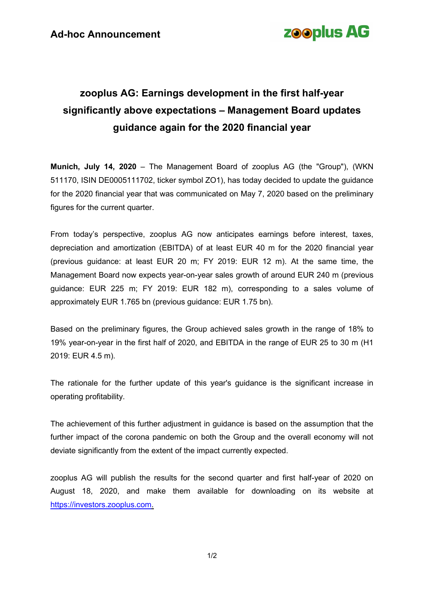# **zooplus AG**

## **zooplus AG: Earnings development in the first half-year significantly above expectations – Management Board updates guidance again for the 2020 financial year**

**Munich, July 14, 2020** – The Management Board of zooplus AG (the "Group"), (WKN 511170, ISIN DE0005111702, ticker symbol ZO1), has today decided to update the guidance for the 2020 financial year that was communicated on May 7, 2020 based on the preliminary figures for the current quarter.

From today's perspective, zooplus AG now anticipates earnings before interest, taxes, depreciation and amortization (EBITDA) of at least EUR 40 m for the 2020 financial year (previous guidance: at least EUR 20 m; FY 2019: EUR 12 m). At the same time, the Management Board now expects year-on-year sales growth of around EUR 240 m (previous guidance: EUR 225 m; FY 2019: EUR 182 m), corresponding to a sales volume of approximately EUR 1.765 bn (previous guidance: EUR 1.75 bn).

Based on the preliminary figures, the Group achieved sales growth in the range of 18% to 19% year-on-year in the first half of 2020, and EBITDA in the range of EUR 25 to 30 m (H1 2019: EUR 4.5 m).

The rationale for the further update of this year's guidance is the significant increase in operating profitability.

The achievement of this further adjustment in guidance is based on the assumption that the further impact of the corona pandemic on both the Group and the overall economy will not deviate significantly from the extent of the impact currently expected.

zooplus AG will publish the results for the second quarter and first half-year of 2020 on August 18, 2020, and make them available for downloading on its website at [https://investors.zooplus.com.](https://investors.zooplus.com/)